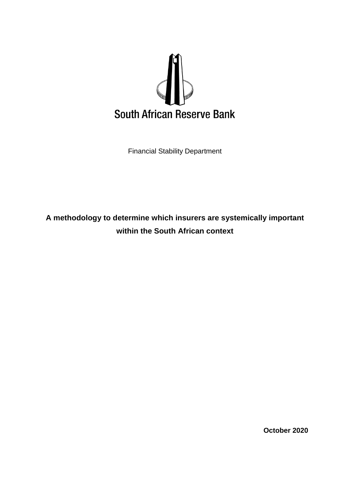

Financial Stability Department

**A methodology to determine which insurers are systemically important within the South African context**

**October 2020**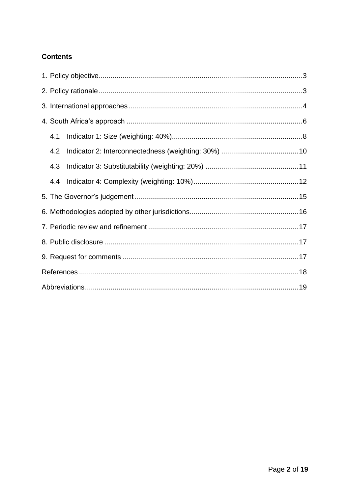# **Contents**

| 4.1 |  |  |  |  |  |  |
|-----|--|--|--|--|--|--|
| 4.2 |  |  |  |  |  |  |
| 4.3 |  |  |  |  |  |  |
| 4.4 |  |  |  |  |  |  |
|     |  |  |  |  |  |  |
|     |  |  |  |  |  |  |
|     |  |  |  |  |  |  |
|     |  |  |  |  |  |  |
|     |  |  |  |  |  |  |
|     |  |  |  |  |  |  |
|     |  |  |  |  |  |  |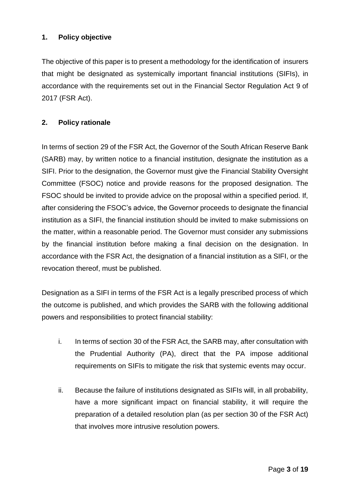### <span id="page-2-0"></span>**1. Policy objective**

The objective of this paper is to present a methodology for the identification of insurers that might be designated as systemically important financial institutions (SIFIs), in accordance with the requirements set out in the Financial Sector Regulation Act 9 of 2017 (FSR Act).

#### <span id="page-2-1"></span>**2. Policy rationale**

In terms of section 29 of the FSR Act, the Governor of the South African Reserve Bank (SARB) may, by written notice to a financial institution, designate the institution as a SIFI. Prior to the designation, the Governor must give the Financial Stability Oversight Committee (FSOC) notice and provide reasons for the proposed designation. The FSOC should be invited to provide advice on the proposal within a specified period. If, after considering the FSOC's advice, the Governor proceeds to designate the financial institution as a SIFI, the financial institution should be invited to make submissions on the matter, within a reasonable period. The Governor must consider any submissions by the financial institution before making a final decision on the designation. In accordance with the FSR Act, the designation of a financial institution as a SIFI, or the revocation thereof, must be published.

Designation as a SIFI in terms of the FSR Act is a legally prescribed process of which the outcome is published, and which provides the SARB with the following additional powers and responsibilities to protect financial stability:

- i. In terms of section 30 of the FSR Act, the SARB may, after consultation with the Prudential Authority (PA), direct that the PA impose additional requirements on SIFIs to mitigate the risk that systemic events may occur.
- ii. Because the failure of institutions designated as SIFIs will, in all probability, have a more significant impact on financial stability, it will require the preparation of a detailed resolution plan (as per section 30 of the FSR Act) that involves more intrusive resolution powers.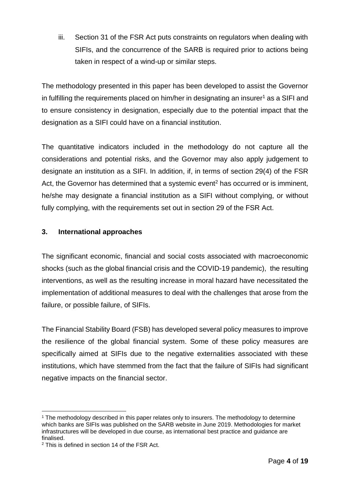iii. Section 31 of the FSR Act puts constraints on regulators when dealing with SIFIs, and the concurrence of the SARB is required prior to actions being taken in respect of a wind-up or similar steps.

The methodology presented in this paper has been developed to assist the Governor in fulfilling the requirements placed on him/her in designating an insurer<sup>1</sup> as a SIFI and to ensure consistency in designation, especially due to the potential impact that the designation as a SIFI could have on a financial institution.

The quantitative indicators included in the methodology do not capture all the considerations and potential risks, and the Governor may also apply judgement to designate an institution as a SIFI. In addition, if, in terms of section 29(4) of the FSR Act, the Governor has determined that a systemic event<sup>2</sup> has occurred or is imminent, he/she may designate a financial institution as a SIFI without complying, or without fully complying, with the requirements set out in section 29 of the FSR Act.

### <span id="page-3-0"></span>**3. International approaches**

The significant economic, financial and social costs associated with macroeconomic shocks (such as the global financial crisis and the COVID-19 pandemic), the resulting interventions, as well as the resulting increase in moral hazard have necessitated the implementation of additional measures to deal with the challenges that arose from the failure, or possible failure, of SIFIs.

The Financial Stability Board (FSB) has developed several policy measures to improve the resilience of the global financial system. Some of these policy measures are specifically aimed at SIFIs due to the negative externalities associated with these institutions, which have stemmed from the fact that the failure of SIFIs had significant negative impacts on the financial sector.

<sup>1</sup> <sup>1</sup> The methodology described in this paper relates only to insurers. The methodology to determine which banks are SIFIs was published on the SARB website in June 2019. Methodologies for market infrastructures will be developed in due course, as international best practice and guidance are finalised.

<sup>2</sup> This is defined in section 14 of the FSR Act.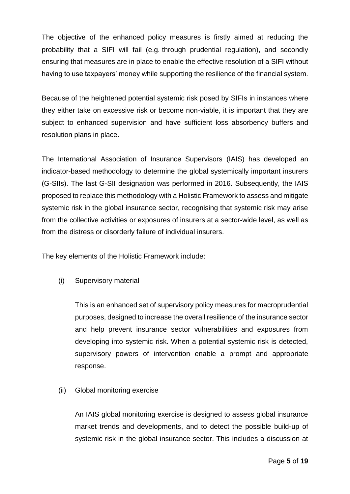The objective of the enhanced policy measures is firstly aimed at reducing the probability that a SIFI will fail (e.g. through prudential regulation), and secondly ensuring that measures are in place to enable the effective resolution of a SIFI without having to use taxpayers' money while supporting the resilience of the financial system.

Because of the heightened potential systemic risk posed by SIFIs in instances where they either take on excessive risk or become non-viable, it is important that they are subject to enhanced supervision and have sufficient loss absorbency buffers and resolution plans in place.

The International Association of Insurance Supervisors (IAIS) has developed an indicator-based methodology to determine the global systemically important insurers (G-SIIs). The last G-SII designation was performed in 2016. Subsequently, the IAIS proposed to replace this methodology with a Holistic Framework to assess and mitigate systemic risk in the global insurance sector, recognising that systemic risk may arise from the collective activities or exposures of insurers at a sector-wide level, as well as from the distress or disorderly failure of individual insurers.

The key elements of the Holistic Framework include:

(i) Supervisory material

This is an enhanced set of supervisory policy measures for macroprudential purposes, designed to increase the overall resilience of the insurance sector and help prevent insurance sector vulnerabilities and exposures from developing into systemic risk. When a potential systemic risk is detected, supervisory powers of intervention enable a prompt and appropriate response.

(ii) Global monitoring exercise

An IAIS global monitoring exercise is designed to assess global insurance market trends and developments, and to detect the possible build-up of systemic risk in the global insurance sector. This includes a discussion at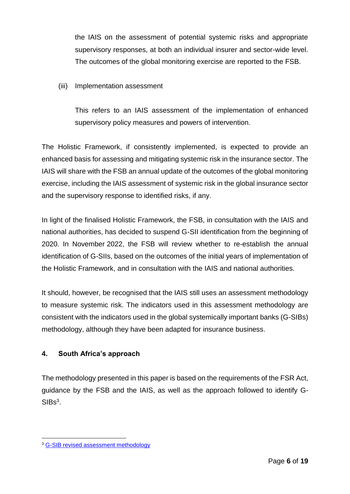the IAIS on the assessment of potential systemic risks and appropriate supervisory responses, at both an individual insurer and sector-wide level. The outcomes of the global monitoring exercise are reported to the FSB.

(iii) Implementation assessment

This refers to an IAIS assessment of the implementation of enhanced supervisory policy measures and powers of intervention.

The Holistic Framework, if consistently implemented, is expected to provide an enhanced basis for assessing and mitigating systemic risk in the insurance sector. The IAIS will share with the FSB an annual update of the outcomes of the global monitoring exercise, including the IAIS assessment of systemic risk in the global insurance sector and the supervisory response to identified risks, if any.

In light of the finalised Holistic Framework, the FSB, in consultation with the IAIS and national authorities, has decided to suspend G-SII identification from the beginning of 2020. In November 2022, the FSB will review whether to re-establish the annual identification of G-SIIs, based on the outcomes of the initial years of implementation of the Holistic Framework, and in consultation with the IAIS and national authorities.

It should, however, be recognised that the IAIS still uses an assessment methodology to measure systemic risk. The indicators used in this assessment methodology are consistent with the indicators used in the global systemically important banks (G-SIBs) methodology, although they have been adapted for insurance business.

### <span id="page-5-0"></span>**4. South Africa's approach**

The methodology presented in this paper is based on the requirements of the FSR Act, guidance by the FSB and the IAIS, as well as the approach followed to identify G- $SIBs<sup>3</sup>$ .

1

<sup>3</sup> [G-SIB revised assessment methodology](https://www.bis.org/bcbs/publ/d445.pdf)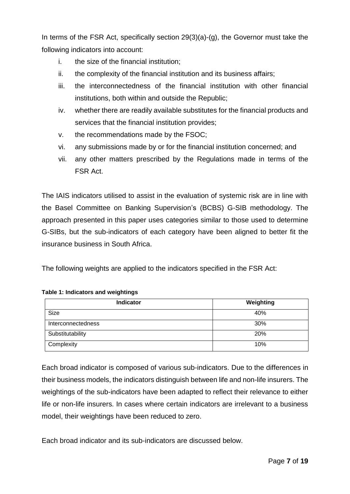In terms of the FSR Act, specifically section 29(3)(a)-(g), the Governor must take the following indicators into account:

- i. the size of the financial institution;
- ii. the complexity of the financial institution and its business affairs;
- iii. the interconnectedness of the financial institution with other financial institutions, both within and outside the Republic;
- iv. whether there are readily available substitutes for the financial products and services that the financial institution provides;
- v. the recommendations made by the FSOC;
- vi. any submissions made by or for the financial institution concerned; and
- vii. any other matters prescribed by the Regulations made in terms of the FSR Act.

The IAIS indicators utilised to assist in the evaluation of systemic risk are in line with the Basel Committee on Banking Supervision's (BCBS) G-SIB methodology. The approach presented in this paper uses categories similar to those used to determine G-SIBs, but the sub-indicators of each category have been aligned to better fit the insurance business in South Africa.

The following weights are applied to the indicators specified in the FSR Act:

#### **Table 1: Indicators and weightings**

| <b>Indicator</b>   | Weighting |
|--------------------|-----------|
| Size               | 40%       |
| Interconnectedness | 30%       |
| Substitutability   | 20%       |
| Complexity         | 10%       |

Each broad indicator is composed of various sub-indicators. Due to the differences in their business models, the indicators distinguish between life and non-life insurers. The weightings of the sub-indicators have been adapted to reflect their relevance to either life or non-life insurers. In cases where certain indicators are irrelevant to a business model, their weightings have been reduced to zero.

Each broad indicator and its sub-indicators are discussed below.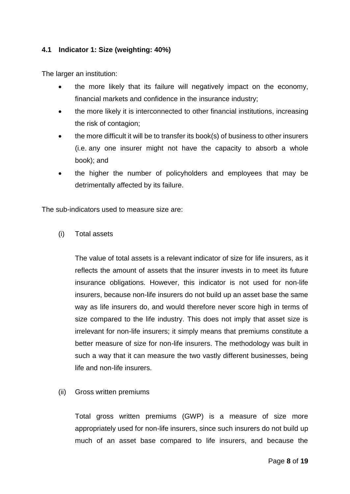#### <span id="page-7-0"></span>**4.1 Indicator 1: Size (weighting: 40%)**

The larger an institution:

- the more likely that its failure will negatively impact on the economy, financial markets and confidence in the insurance industry;
- the more likely it is interconnected to other financial institutions, increasing the risk of contagion;
- the more difficult it will be to transfer its book(s) of business to other insurers (i.e. any one insurer might not have the capacity to absorb a whole book); and
- the higher the number of policyholders and employees that may be detrimentally affected by its failure.

The sub-indicators used to measure size are:

(i) Total assets

The value of total assets is a relevant indicator of size for life insurers, as it reflects the amount of assets that the insurer invests in to meet its future insurance obligations. However, this indicator is not used for non-life insurers, because non-life insurers do not build up an asset base the same way as life insurers do, and would therefore never score high in terms of size compared to the life industry. This does not imply that asset size is irrelevant for non-life insurers; it simply means that premiums constitute a better measure of size for non-life insurers. The methodology was built in such a way that it can measure the two vastly different businesses, being life and non-life insurers.

(ii) Gross written premiums

Total gross written premiums (GWP) is a measure of size more appropriately used for non-life insurers, since such insurers do not build up much of an asset base compared to life insurers, and because the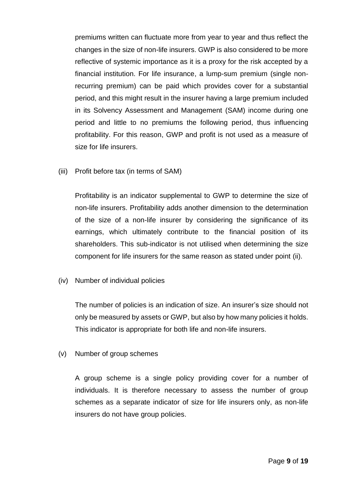premiums written can fluctuate more from year to year and thus reflect the changes in the size of non-life insurers. GWP is also considered to be more reflective of systemic importance as it is a proxy for the risk accepted by a financial institution. For life insurance, a lump-sum premium (single nonrecurring premium) can be paid which provides cover for a substantial period, and this might result in the insurer having a large premium included in its Solvency Assessment and Management (SAM) income during one period and little to no premiums the following period, thus influencing profitability. For this reason, GWP and profit is not used as a measure of size for life insurers.

(iii) Profit before tax (in terms of SAM)

Profitability is an indicator supplemental to GWP to determine the size of non-life insurers. Profitability adds another dimension to the determination of the size of a non-life insurer by considering the significance of its earnings, which ultimately contribute to the financial position of its shareholders. This sub-indicator is not utilised when determining the size component for life insurers for the same reason as stated under point (ii).

(iv) Number of individual policies

The number of policies is an indication of size. An insurer's size should not only be measured by assets or GWP, but also by how many policies it holds. This indicator is appropriate for both life and non-life insurers.

(v) Number of group schemes

A group scheme is a single policy providing cover for a number of individuals. It is therefore necessary to assess the number of group schemes as a separate indicator of size for life insurers only, as non-life insurers do not have group policies.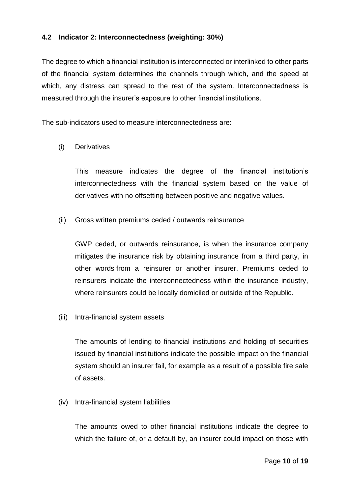### <span id="page-9-0"></span>**4.2 Indicator 2: Interconnectedness (weighting: 30%)**

The degree to which a financial institution is interconnected or interlinked to other parts of the financial system determines the channels through which, and the speed at which, any distress can spread to the rest of the system. Interconnectedness is measured through the insurer's exposure to other financial institutions.

The sub-indicators used to measure interconnectedness are:

#### (i) Derivatives

This measure indicates the degree of the financial institution's interconnectedness with the financial system based on the value of derivatives with no offsetting between positive and negative values.

(ii) Gross written premiums ceded / outwards reinsurance

GWP ceded, or outwards reinsurance, is when the insurance company mitigates the insurance risk by obtaining insurance from a third party, in other words from a reinsurer or another insurer. Premiums ceded to reinsurers indicate the interconnectedness within the insurance industry, where reinsurers could be locally domiciled or outside of the Republic.

(iii) Intra-financial system assets

The amounts of lending to financial institutions and holding of securities issued by financial institutions indicate the possible impact on the financial system should an insurer fail, for example as a result of a possible fire sale of assets.

(iv) Intra-financial system liabilities

The amounts owed to other financial institutions indicate the degree to which the failure of, or a default by, an insurer could impact on those with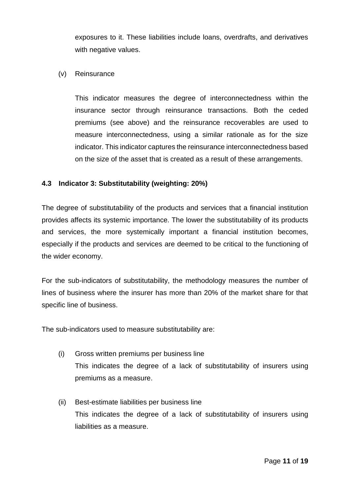exposures to it. These liabilities include loans, overdrafts, and derivatives with negative values.

(v) Reinsurance

This indicator measures the degree of interconnectedness within the insurance sector through reinsurance transactions. Both the ceded premiums (see above) and the reinsurance recoverables are used to measure interconnectedness, using a similar rationale as for the size indicator. This indicator captures the reinsurance interconnectedness based on the size of the asset that is created as a result of these arrangements.

#### <span id="page-10-0"></span>**4.3 Indicator 3: Substitutability (weighting: 20%)**

The degree of substitutability of the products and services that a financial institution provides affects its systemic importance. The lower the substitutability of its products and services, the more systemically important a financial institution becomes, especially if the products and services are deemed to be critical to the functioning of the wider economy.

For the sub-indicators of substitutability, the methodology measures the number of lines of business where the insurer has more than 20% of the market share for that specific line of business.

The sub-indicators used to measure substitutability are:

- (i) Gross written premiums per business line This indicates the degree of a lack of substitutability of insurers using premiums as a measure.
- (ii) Best-estimate liabilities per business line This indicates the degree of a lack of substitutability of insurers using liabilities as a measure.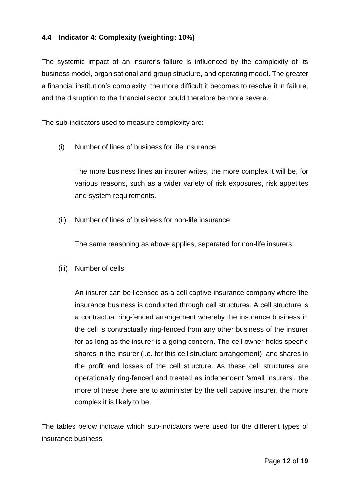### <span id="page-11-0"></span>**4.4 Indicator 4: Complexity (weighting: 10%)**

The systemic impact of an insurer's failure is influenced by the complexity of its business model, organisational and group structure, and operating model. The greater a financial institution's complexity, the more difficult it becomes to resolve it in failure, and the disruption to the financial sector could therefore be more severe.

The sub-indicators used to measure complexity are:

(i) Number of lines of business for life insurance

The more business lines an insurer writes, the more complex it will be, for various reasons, such as a wider variety of risk exposures, risk appetites and system requirements.

(ii) Number of lines of business for non-life insurance

The same reasoning as above applies, separated for non-life insurers.

(iii) Number of cells

An insurer can be licensed as a cell captive insurance company where the insurance business is conducted through cell structures. A cell structure is a contractual ring-fenced arrangement whereby the insurance business in the cell is contractually ring-fenced from any other business of the insurer for as long as the insurer is a going concern. The cell owner holds specific shares in the insurer (i.e. for this cell structure arrangement), and shares in the profit and losses of the cell structure. As these cell structures are operationally ring-fenced and treated as independent 'small insurers', the more of these there are to administer by the cell captive insurer, the more complex it is likely to be.

The tables below indicate which sub-indicators were used for the different types of insurance business.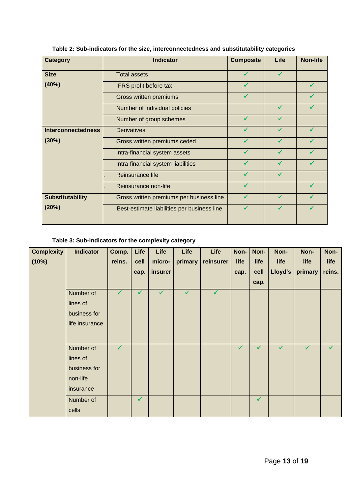| <b>Category</b>           | <b>Indicator</b>                            | <b>Composite</b> | Life         | <b>Non-life</b> |
|---------------------------|---------------------------------------------|------------------|--------------|-----------------|
|                           |                                             |                  |              |                 |
| <b>Size</b>               | <b>Total assets</b>                         | $\checkmark$     | $\checkmark$ |                 |
| (40%)                     | IFRS profit before tax                      | $\checkmark$     |              | $\checkmark$    |
|                           | Gross written premiums                      | ✔                |              | $\checkmark$    |
|                           | Number of individual policies               |                  | $\checkmark$ |                 |
|                           | Number of group schemes                     | $\checkmark$     | $\checkmark$ |                 |
| <b>Interconnectedness</b> | <b>Derivatives</b>                          |                  |              |                 |
| (30%)                     | Gross written premiums ceded                | $\checkmark$     | $\checkmark$ | ✓               |
|                           | Intra-financial system assets               | ✔                | $\checkmark$ |                 |
|                           | Intra-financial system liabilities          | ✔                | $\checkmark$ | ✔               |
|                           | Reinsurance life                            | ✔                | $\checkmark$ |                 |
|                           | Reinsurance non-life                        | ✔                |              | ✓               |
| <b>Substitutability</b>   | Gross written premiums per business line    | ✔                | $\checkmark$ |                 |
| (20%)                     | Best-estimate liabilities per business line | ✔                | ✔            |                 |
|                           |                                             |                  |              |                 |

**Table 2: Sub-indicators for the size, interconnectedness and substitutability categories**

### **Table 3: Sub-indicators for the complexity category**

| <b>Complexity</b> | <b>Indicator</b> | Comp.        | Life         | Life         | Life         | Life         | Non- | Non-         | Non-         | Non-         | Non-         |
|-------------------|------------------|--------------|--------------|--------------|--------------|--------------|------|--------------|--------------|--------------|--------------|
| (10%)             |                  | reins.       | cell         | micro-       | primary      | reinsurer    | life | life         | life         | life         | life         |
|                   |                  |              | cap.         | insurer      |              |              | cap. | cell         | Lloyd's      | primary      | reins.       |
|                   |                  |              |              |              |              |              |      | cap.         |              |              |              |
|                   | Number of        | $\checkmark$ | $\checkmark$ | $\checkmark$ | $\checkmark$ | $\checkmark$ |      |              |              |              |              |
|                   | lines of         |              |              |              |              |              |      |              |              |              |              |
|                   | business for     |              |              |              |              |              |      |              |              |              |              |
|                   | life insurance   |              |              |              |              |              |      |              |              |              |              |
|                   |                  |              |              |              |              |              |      |              |              |              |              |
|                   | Number of        | $\checkmark$ |              |              |              |              | ✓    | $\checkmark$ | $\checkmark$ | $\checkmark$ | $\checkmark$ |
|                   | lines of         |              |              |              |              |              |      |              |              |              |              |
|                   | business for     |              |              |              |              |              |      |              |              |              |              |
|                   | non-life         |              |              |              |              |              |      |              |              |              |              |
|                   | insurance        |              |              |              |              |              |      |              |              |              |              |
|                   | Number of        |              | $\checkmark$ |              |              |              |      | $\checkmark$ |              |              |              |
|                   | cells            |              |              |              |              |              |      |              |              |              |              |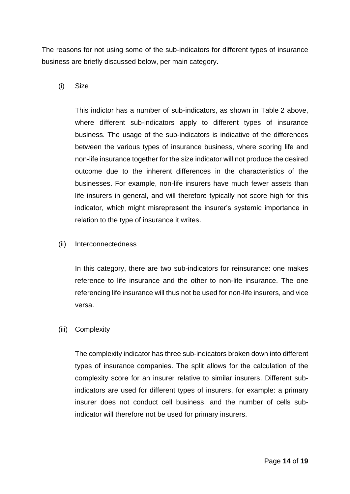The reasons for not using some of the sub-indicators for different types of insurance business are briefly discussed below, per main category.

(i) Size

This indictor has a number of sub-indicators, as shown in Table 2 above, where different sub-indicators apply to different types of insurance business. The usage of the sub-indicators is indicative of the differences between the various types of insurance business, where scoring life and non-life insurance together for the size indicator will not produce the desired outcome due to the inherent differences in the characteristics of the businesses. For example, non-life insurers have much fewer assets than life insurers in general, and will therefore typically not score high for this indicator, which might misrepresent the insurer's systemic importance in relation to the type of insurance it writes.

(ii) Interconnectedness

In this category, there are two sub-indicators for reinsurance: one makes reference to life insurance and the other to non-life insurance. The one referencing life insurance will thus not be used for non-life insurers, and vice versa.

(iii) Complexity

The complexity indicator has three sub-indicators broken down into different types of insurance companies. The split allows for the calculation of the complexity score for an insurer relative to similar insurers. Different subindicators are used for different types of insurers, for example: a primary insurer does not conduct cell business, and the number of cells subindicator will therefore not be used for primary insurers.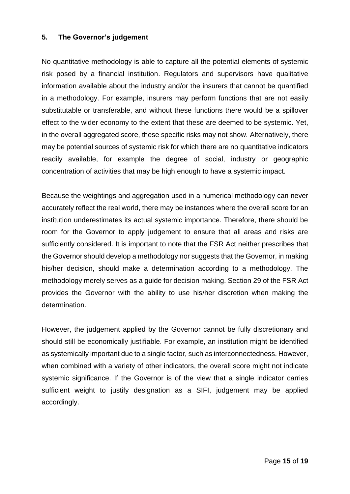#### <span id="page-14-0"></span>**5. The Governor's judgement**

No quantitative methodology is able to capture all the potential elements of systemic risk posed by a financial institution. Regulators and supervisors have qualitative information available about the industry and/or the insurers that cannot be quantified in a methodology. For example, insurers may perform functions that are not easily substitutable or transferable, and without these functions there would be a spillover effect to the wider economy to the extent that these are deemed to be systemic. Yet, in the overall aggregated score, these specific risks may not show. Alternatively, there may be potential sources of systemic risk for which there are no quantitative indicators readily available, for example the degree of social, industry or geographic concentration of activities that may be high enough to have a systemic impact.

Because the weightings and aggregation used in a numerical methodology can never accurately reflect the real world, there may be instances where the overall score for an institution underestimates its actual systemic importance. Therefore, there should be room for the Governor to apply judgement to ensure that all areas and risks are sufficiently considered. It is important to note that the FSR Act neither prescribes that the Governor should develop a methodology nor suggests that the Governor, in making his/her decision, should make a determination according to a methodology. The methodology merely serves as a guide for decision making. Section 29 of the FSR Act provides the Governor with the ability to use his/her discretion when making the determination.

However, the judgement applied by the Governor cannot be fully discretionary and should still be economically justifiable. For example, an institution might be identified as systemically important due to a single factor, such as interconnectedness. However, when combined with a variety of other indicators, the overall score might not indicate systemic significance. If the Governor is of the view that a single indicator carries sufficient weight to justify designation as a SIFI, judgement may be applied accordingly.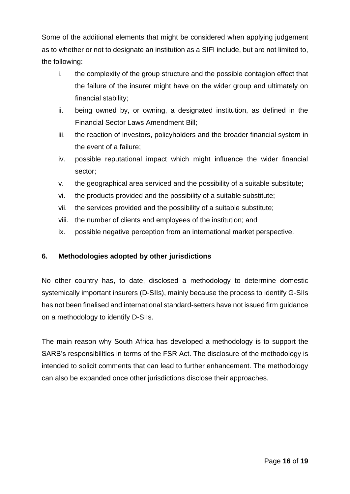Some of the additional elements that might be considered when applying judgement as to whether or not to designate an institution as a SIFI include, but are not limited to, the following:

- i. the complexity of the group structure and the possible contagion effect that the failure of the insurer might have on the wider group and ultimately on financial stability;
- ii. being owned by, or owning, a designated institution, as defined in the Financial Sector Laws Amendment Bill;
- iii. the reaction of investors, policyholders and the broader financial system in the event of a failure;
- iv. possible reputational impact which might influence the wider financial sector;
- v. the geographical area serviced and the possibility of a suitable substitute;
- vi. the products provided and the possibility of a suitable substitute;
- vii. the services provided and the possibility of a suitable substitute;
- viii. the number of clients and employees of the institution; and
- ix. possible negative perception from an international market perspective.

### <span id="page-15-0"></span>**6. Methodologies adopted by other jurisdictions**

No other country has, to date, disclosed a methodology to determine domestic systemically important insurers (D-SIIs), mainly because the process to identify G-SIIs has not been finalised and international standard-setters have not issued firm guidance on a methodology to identify D-SIIs.

The main reason why South Africa has developed a methodology is to support the SARB's responsibilities in terms of the FSR Act. The disclosure of the methodology is intended to solicit comments that can lead to further enhancement. The methodology can also be expanded once other jurisdictions disclose their approaches.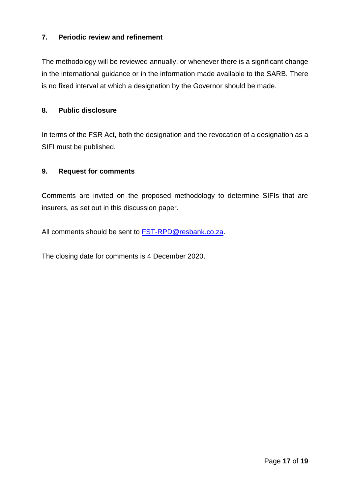### <span id="page-16-0"></span>**7. Periodic review and refinement**

The methodology will be reviewed annually, or whenever there is a significant change in the international guidance or in the information made available to the SARB. There is no fixed interval at which a designation by the Governor should be made.

#### <span id="page-16-1"></span>**8. Public disclosure**

In terms of the FSR Act, both the designation and the revocation of a designation as a SIFI must be published.

#### <span id="page-16-2"></span>**9. Request for comments**

Comments are invited on the proposed methodology to determine SIFIs that are insurers, as set out in this discussion paper.

All comments should be sent to [FST-RPD@resbank.co.za.](mailto:FST-RPD@resbank.co.za)

The closing date for comments is 4 December 2020.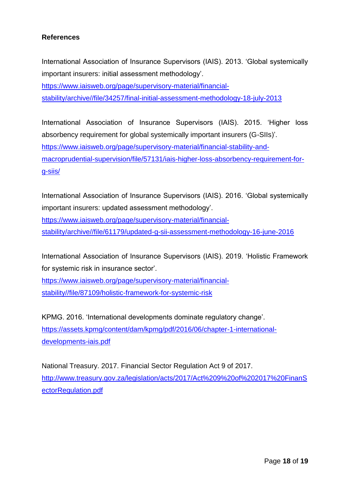### <span id="page-17-0"></span>**References**

International Association of Insurance Supervisors (IAIS). 2013. 'Global systemically important insurers: initial assessment methodology'.

[https://www.iaisweb.org/page/supervisory-material/financial](https://www.iaisweb.org/page/supervisory-material/financial-stability/archive/file/34257/final-initial-assessment-methodology-18-july-2013)[stability/archive//file/34257/final-initial-assessment-methodology-18-july-2013](https://www.iaisweb.org/page/supervisory-material/financial-stability/archive/file/34257/final-initial-assessment-methodology-18-july-2013)

International Association of Insurance Supervisors (IAIS). 2015. 'Higher loss absorbency requirement for global systemically important insurers (G-SIIs)'. [https://www.iaisweb.org/page/supervisory-material/financial-stability-and](https://www.iaisweb.org/page/supervisory-material/financial-stability-and-macroprudential-supervision/file/57131/iais-higher-loss-absorbency-requirement-for-g-siis/)[macroprudential-supervision/file/57131/iais-higher-loss-absorbency-requirement-for](https://www.iaisweb.org/page/supervisory-material/financial-stability-and-macroprudential-supervision/file/57131/iais-higher-loss-absorbency-requirement-for-g-siis/)[g-siis/](https://www.iaisweb.org/page/supervisory-material/financial-stability-and-macroprudential-supervision/file/57131/iais-higher-loss-absorbency-requirement-for-g-siis/)

International Association of Insurance Supervisors (IAIS). 2016. 'Global systemically important insurers: updated assessment methodology'.

[https://www.iaisweb.org/page/supervisory-material/financial-](https://www.iaisweb.org/page/supervisory-material/financial-stability/archive/file/61179/updated-g-sii-assessment-methodology-16-june-2016)

[stability/archive//file/61179/updated-g-sii-assessment-methodology-16-june-2016](https://www.iaisweb.org/page/supervisory-material/financial-stability/archive/file/61179/updated-g-sii-assessment-methodology-16-june-2016)

International Association of Insurance Supervisors (IAIS). 2019. 'Holistic Framework for systemic risk in insurance sector'.

[https://www.iaisweb.org/page/supervisory-material/financial](https://www.iaisweb.org/page/supervisory-material/financial-stability/file/87109/holistic-framework-for-systemic-risk)[stability//file/87109/holistic-framework-for-systemic-risk](https://www.iaisweb.org/page/supervisory-material/financial-stability/file/87109/holistic-framework-for-systemic-risk)

KPMG. 2016. 'International developments dominate regulatory change'. [https://assets.kpmg/content/dam/kpmg/pdf/2016/06/chapter-1-international](https://assets.kpmg/content/dam/kpmg/pdf/2016/06/chapter-1-international-developments-iais.pdf)[developments-iais.pdf](https://assets.kpmg/content/dam/kpmg/pdf/2016/06/chapter-1-international-developments-iais.pdf)

National Treasury. 2017. Financial Sector Regulation Act 9 of 2017. [http://www.treasury.gov.za/legislation/acts/2017/Act%209%20of%202017%20FinanS](http://www.treasury.gov.za/legislation/acts/2017/Act%209%20of%202017%20FinanSectorRegulation.pdf) [ectorRegulation.pdf](http://www.treasury.gov.za/legislation/acts/2017/Act%209%20of%202017%20FinanSectorRegulation.pdf)